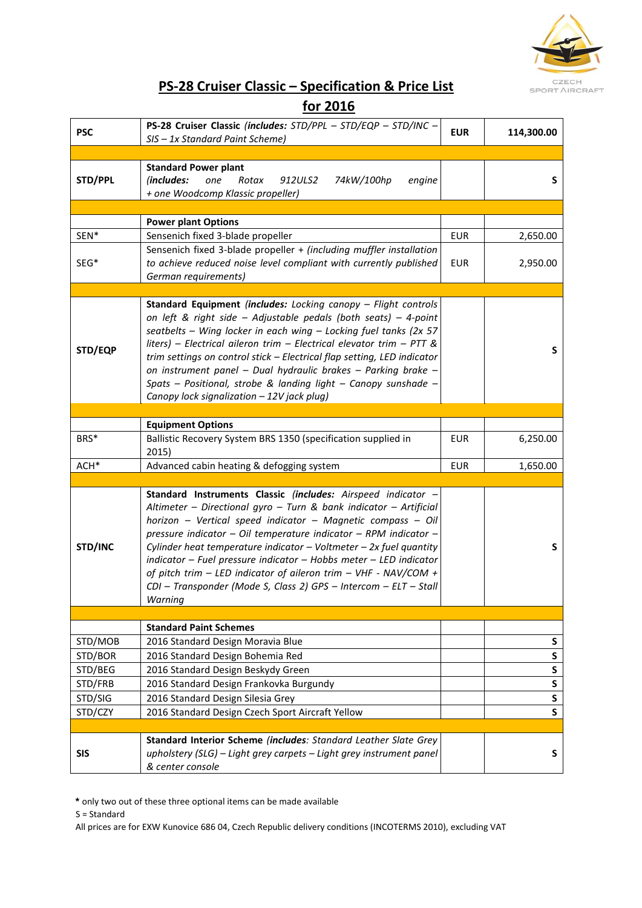

# **PS-28 Cruiser Classic – Specification & Price List**

### **for 2016**

| <b>PSC</b> | PS-28 Cruiser Classic (includes: STD/PPL - STD/EQP - STD/INC -<br>SIS - 1x Standard Paint Scheme)                                                                                                                                                                                                                                                                                                                                                                                                                                                                        | <b>EUR</b> | 114,300.00   |
|------------|--------------------------------------------------------------------------------------------------------------------------------------------------------------------------------------------------------------------------------------------------------------------------------------------------------------------------------------------------------------------------------------------------------------------------------------------------------------------------------------------------------------------------------------------------------------------------|------------|--------------|
|            |                                                                                                                                                                                                                                                                                                                                                                                                                                                                                                                                                                          |            |              |
| STD/PPL    | <b>Standard Power plant</b><br>(includes:<br>one<br>Rotax<br>912ULS2<br>74kW/100hp<br>engine<br>+ one Woodcomp Klassic propeller)                                                                                                                                                                                                                                                                                                                                                                                                                                        |            | S            |
|            |                                                                                                                                                                                                                                                                                                                                                                                                                                                                                                                                                                          |            |              |
|            | <b>Power plant Options</b>                                                                                                                                                                                                                                                                                                                                                                                                                                                                                                                                               |            |              |
| SEN*       | Sensenich fixed 3-blade propeller                                                                                                                                                                                                                                                                                                                                                                                                                                                                                                                                        | <b>EUR</b> | 2,650.00     |
| SEG*       | Sensenich fixed 3-blade propeller + (including muffler installation<br>to achieve reduced noise level compliant with currently published<br>German requirements)                                                                                                                                                                                                                                                                                                                                                                                                         | <b>EUR</b> | 2,950.00     |
|            |                                                                                                                                                                                                                                                                                                                                                                                                                                                                                                                                                                          |            |              |
| STD/EQP    | Standard Equipment (includes: Locking canopy - Flight controls<br>on left & right side - Adjustable pedals (both seats) - 4-point<br>seatbelts - Wing locker in each wing - Locking fuel tanks (2x 57<br>liters) - Electrical aileron trim - Electrical elevator trim - PTT &<br>trim settings on control stick - Electrical flap setting, LED indicator<br>on instrument panel - Dual hydraulic brakes - Parking brake -<br>Spats - Positional, strobe & landing light - Canopy sunshade -<br>Canopy lock signalization - 12V jack plug)                                |            | S            |
|            |                                                                                                                                                                                                                                                                                                                                                                                                                                                                                                                                                                          |            |              |
|            | <b>Equipment Options</b>                                                                                                                                                                                                                                                                                                                                                                                                                                                                                                                                                 |            |              |
| BRS*       | Ballistic Recovery System BRS 1350 (specification supplied in<br>2015)                                                                                                                                                                                                                                                                                                                                                                                                                                                                                                   | <b>EUR</b> | 6,250.00     |
| ACH*       | Advanced cabin heating & defogging system                                                                                                                                                                                                                                                                                                                                                                                                                                                                                                                                | <b>EUR</b> | 1,650.00     |
|            |                                                                                                                                                                                                                                                                                                                                                                                                                                                                                                                                                                          |            |              |
| STD/INC    | Standard Instruments Classic (includes: Airspeed indicator -<br>Altimeter - Directional gyro - Turn & bank indicator - Artificial<br>horizon - Vertical speed indicator - Magnetic compass - Oil<br>pressure indicator - Oil temperature indicator - RPM indicator -<br>Cylinder heat temperature indicator $-$ Voltmeter $-$ 2x fuel quantity<br>$indication$ – Fuel pressure indicator – Hobbs meter – LED indicator<br>of pitch trim - LED indicator of aileron trim - VHF - NAV/COM +<br>CDI - Transponder (Mode S, Class 2) GPS - Intercom - ELT - Stall<br>Warning |            | S            |
|            |                                                                                                                                                                                                                                                                                                                                                                                                                                                                                                                                                                          |            |              |
|            | <b>Standard Paint Schemes</b>                                                                                                                                                                                                                                                                                                                                                                                                                                                                                                                                            |            |              |
| STD/MOB    | 2016 Standard Design Moravia Blue                                                                                                                                                                                                                                                                                                                                                                                                                                                                                                                                        |            | S            |
| STD/BOR    | 2016 Standard Design Bohemia Red                                                                                                                                                                                                                                                                                                                                                                                                                                                                                                                                         |            | S            |
| STD/BEG    | 2016 Standard Design Beskydy Green                                                                                                                                                                                                                                                                                                                                                                                                                                                                                                                                       |            | S            |
| STD/FRB    | 2016 Standard Design Frankovka Burgundy                                                                                                                                                                                                                                                                                                                                                                                                                                                                                                                                  |            | S            |
| STD/SIG    | 2016 Standard Design Silesia Grey                                                                                                                                                                                                                                                                                                                                                                                                                                                                                                                                        |            | S            |
| STD/CZY    | 2016 Standard Design Czech Sport Aircraft Yellow                                                                                                                                                                                                                                                                                                                                                                                                                                                                                                                         |            | $\mathsf{s}$ |
|            |                                                                                                                                                                                                                                                                                                                                                                                                                                                                                                                                                                          |            |              |
| <b>SIS</b> | Standard Interior Scheme (includes: Standard Leather Slate Grey<br>upholstery (SLG) - Light grey carpets - Light grey instrument panel<br>& center console                                                                                                                                                                                                                                                                                                                                                                                                               |            | S            |

**\*** only two out of these three optional items can be made available

S = Standard

All prices are for EXW Kunovice 686 04, Czech Republic delivery conditions (INCOTERMS 2010), excluding VAT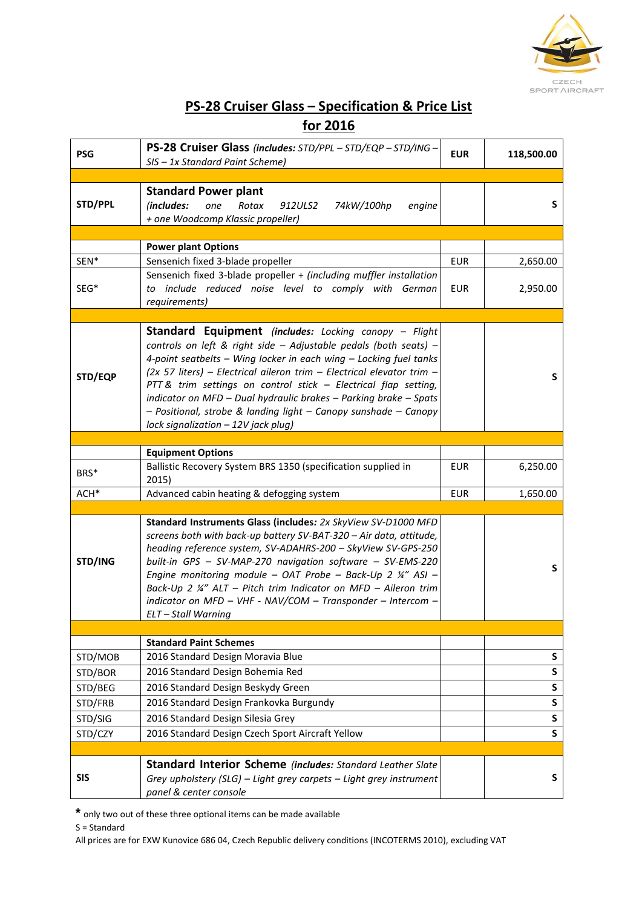

# **PS-28 Cruiser Glass – Specification & Price List**

### **for 2016**

| <b>PSG</b> | PS-28 Cruiser Glass (includes: STD/PPL - STD/EQP - STD/ING -<br>SIS - 1x Standard Paint Scheme)                                                                                                                                                                                                                                                                                                                                                                                                                                   | <b>EUR</b> | 118,500.00   |
|------------|-----------------------------------------------------------------------------------------------------------------------------------------------------------------------------------------------------------------------------------------------------------------------------------------------------------------------------------------------------------------------------------------------------------------------------------------------------------------------------------------------------------------------------------|------------|--------------|
|            |                                                                                                                                                                                                                                                                                                                                                                                                                                                                                                                                   |            |              |
| STD/PPL    | <b>Standard Power plant</b><br>(includes:<br>Rotax<br>912ULS2<br>74kW/100hp<br>one<br>engine<br>+ one Woodcomp Klassic propeller)                                                                                                                                                                                                                                                                                                                                                                                                 |            | S            |
|            |                                                                                                                                                                                                                                                                                                                                                                                                                                                                                                                                   |            |              |
|            | <b>Power plant Options</b>                                                                                                                                                                                                                                                                                                                                                                                                                                                                                                        |            |              |
| SEN*       | Sensenich fixed 3-blade propeller                                                                                                                                                                                                                                                                                                                                                                                                                                                                                                 | <b>EUR</b> | 2,650.00     |
| SEG*       | Sensenich fixed 3-blade propeller + (including muffler installation<br>to include reduced noise level to comply with German<br>requirements)                                                                                                                                                                                                                                                                                                                                                                                      | <b>EUR</b> | 2,950.00     |
|            |                                                                                                                                                                                                                                                                                                                                                                                                                                                                                                                                   |            |              |
| STD/EQP    | <b>Standard Equipment</b> (includes: Locking canopy – Flight<br>controls on left & right side - Adjustable pedals (both seats) -<br>4-point seatbelts - Wing locker in each wing - Locking fuel tanks<br>$(2x 57$ liters) - Electrical aileron trim - Electrical elevator trim -<br>PTT & trim settings on control stick - Electrical flap setting,<br>indicator on MFD - Dual hydraulic brakes - Parking brake - Spats<br>- Positional, strobe & landing light - Canopy sunshade - Canopy<br>lock signalization - 12V jack plug) |            | S            |
|            |                                                                                                                                                                                                                                                                                                                                                                                                                                                                                                                                   |            |              |
|            | <b>Equipment Options</b>                                                                                                                                                                                                                                                                                                                                                                                                                                                                                                          |            |              |
| BRS*       | Ballistic Recovery System BRS 1350 (specification supplied in<br>2015)                                                                                                                                                                                                                                                                                                                                                                                                                                                            | <b>EUR</b> | 6,250.00     |
| ACH*       | Advanced cabin heating & defogging system                                                                                                                                                                                                                                                                                                                                                                                                                                                                                         | <b>EUR</b> | 1,650.00     |
|            |                                                                                                                                                                                                                                                                                                                                                                                                                                                                                                                                   |            |              |
| STD/ING    | Standard Instruments Glass (includes: 2x SkyView SV-D1000 MFD<br>screens both with back-up battery SV-BAT-320 - Air data, attitude,<br>heading reference system, SV-ADAHRS-200 - SkyView SV-GPS-250<br>built-in GPS - SV-MAP-270 navigation software - SV-EMS-220<br>Engine monitoring module - OAT Probe - Back-Up 2 $\frac{1}{4}$ " ASI -<br>Back-Up 2 ¼" ALT - Pitch trim Indicator on MFD - Aileron trim<br>indicator on MFD - VHF - NAV/COM - Transponder - Intercom -<br>ELT-Stall Warning                                  |            | S            |
|            |                                                                                                                                                                                                                                                                                                                                                                                                                                                                                                                                   |            |              |
|            | <b>Standard Paint Schemes</b>                                                                                                                                                                                                                                                                                                                                                                                                                                                                                                     |            |              |
| STD/MOB    | 2016 Standard Design Moravia Blue                                                                                                                                                                                                                                                                                                                                                                                                                                                                                                 |            | S            |
| STD/BOR    | 2016 Standard Design Bohemia Red                                                                                                                                                                                                                                                                                                                                                                                                                                                                                                  |            | S            |
| STD/BEG    | 2016 Standard Design Beskydy Green                                                                                                                                                                                                                                                                                                                                                                                                                                                                                                |            | ${\sf S}$    |
| STD/FRB    | 2016 Standard Design Frankovka Burgundy                                                                                                                                                                                                                                                                                                                                                                                                                                                                                           |            | ${\sf S}$    |
| STD/SIG    | 2016 Standard Design Silesia Grey                                                                                                                                                                                                                                                                                                                                                                                                                                                                                                 |            | S            |
| STD/CZY    | 2016 Standard Design Czech Sport Aircraft Yellow                                                                                                                                                                                                                                                                                                                                                                                                                                                                                  |            | $\mathsf{s}$ |
|            |                                                                                                                                                                                                                                                                                                                                                                                                                                                                                                                                   |            |              |
| <b>SIS</b> | <b>Standard Interior Scheme (includes: Standard Leather Slate</b><br>Grey upholstery (SLG) - Light grey carpets - Light grey instrument<br>panel & center console                                                                                                                                                                                                                                                                                                                                                                 |            | S            |

**\*** only two out of these three optional items can be made available

S = Standard

All prices are for EXW Kunovice 686 04, Czech Republic delivery conditions (INCOTERMS 2010), excluding VAT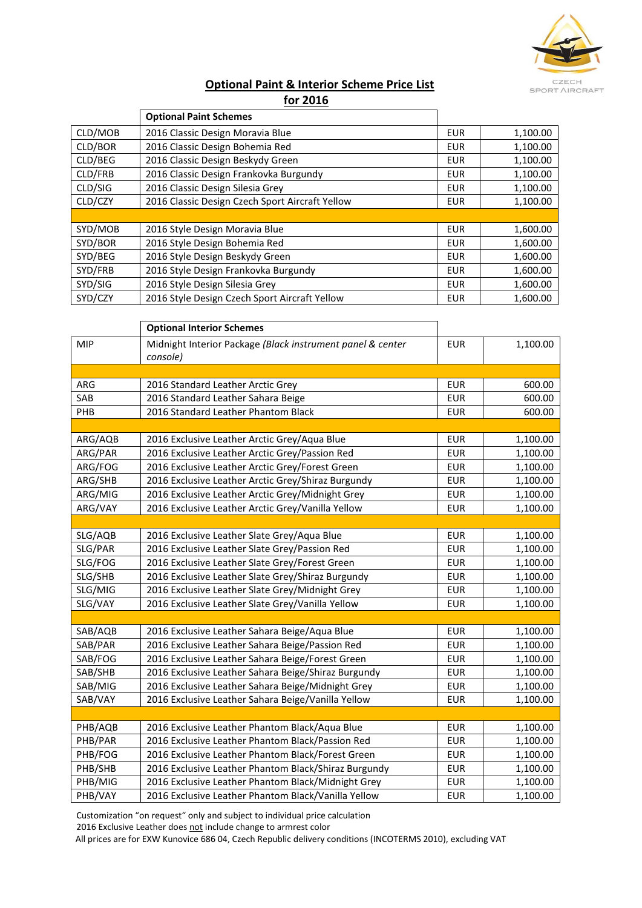

#### **Optional Paint & Interior Scheme Price List for 2016**

|         | <b>Optional Paint Schemes</b>                   |            |          |
|---------|-------------------------------------------------|------------|----------|
| CLD/MOB | 2016 Classic Design Moravia Blue                | <b>EUR</b> | 1,100.00 |
| CLD/BOR | 2016 Classic Design Bohemia Red                 | <b>EUR</b> | 1,100.00 |
| CLD/BEG | 2016 Classic Design Beskydy Green               | <b>EUR</b> | 1,100.00 |
| CLD/FRB | 2016 Classic Design Frankovka Burgundy          | <b>EUR</b> | 1,100.00 |
| CLD/SIG | 2016 Classic Design Silesia Grey                | <b>EUR</b> | 1,100.00 |
| CLD/CZY | 2016 Classic Design Czech Sport Aircraft Yellow | <b>EUR</b> | 1,100.00 |
|         |                                                 |            |          |
| SYD/MOB | 2016 Style Design Moravia Blue                  | <b>EUR</b> | 1,600.00 |
| SYD/BOR | 2016 Style Design Bohemia Red                   | <b>EUR</b> | 1,600.00 |
| SYD/BEG | 2016 Style Design Beskydy Green                 | <b>EUR</b> | 1,600.00 |
| SYD/FRB | 2016 Style Design Frankovka Burgundy            | <b>EUR</b> | 1,600.00 |
| SYD/SIG | 2016 Style Design Silesia Grey                  | <b>EUR</b> | 1,600.00 |
| SYD/CZY | 2016 Style Design Czech Sport Aircraft Yellow   | <b>EUR</b> | 1,600.00 |

|            | <b>Optional Interior Schemes</b>                                       |            |          |
|------------|------------------------------------------------------------------------|------------|----------|
| <b>MIP</b> | Midnight Interior Package (Black instrument panel & center<br>console) | <b>EUR</b> | 1,100.00 |
|            |                                                                        |            |          |
| ARG        | 2016 Standard Leather Arctic Grey                                      | <b>EUR</b> | 600.00   |
| SAB        | 2016 Standard Leather Sahara Beige                                     | <b>EUR</b> | 600.00   |
| PHB        | 2016 Standard Leather Phantom Black                                    | <b>EUR</b> | 600.00   |
|            |                                                                        |            |          |
| ARG/AQB    | 2016 Exclusive Leather Arctic Grey/Aqua Blue                           | <b>EUR</b> | 1,100.00 |
| ARG/PAR    | 2016 Exclusive Leather Arctic Grey/Passion Red                         | <b>EUR</b> | 1,100.00 |
| ARG/FOG    | 2016 Exclusive Leather Arctic Grey/Forest Green                        | <b>EUR</b> | 1,100.00 |
| ARG/SHB    | 2016 Exclusive Leather Arctic Grey/Shiraz Burgundy                     | <b>EUR</b> | 1,100.00 |
| ARG/MIG    | 2016 Exclusive Leather Arctic Grey/Midnight Grey                       | <b>EUR</b> | 1,100.00 |
| ARG/VAY    | 2016 Exclusive Leather Arctic Grey/Vanilla Yellow                      | <b>EUR</b> | 1,100.00 |
|            |                                                                        |            |          |
| SLG/AQB    | 2016 Exclusive Leather Slate Grey/Aqua Blue                            | <b>EUR</b> | 1,100.00 |
| SLG/PAR    | 2016 Exclusive Leather Slate Grey/Passion Red                          | <b>EUR</b> | 1,100.00 |
| SLG/FOG    | 2016 Exclusive Leather Slate Grey/Forest Green                         | <b>EUR</b> | 1,100.00 |
| SLG/SHB    | 2016 Exclusive Leather Slate Grey/Shiraz Burgundy                      | <b>EUR</b> | 1,100.00 |
| SLG/MIG    | 2016 Exclusive Leather Slate Grey/Midnight Grey                        | <b>EUR</b> | 1,100.00 |
| SLG/VAY    | 2016 Exclusive Leather Slate Grey/Vanilla Yellow                       | <b>EUR</b> | 1,100.00 |
|            |                                                                        |            |          |
| SAB/AQB    | 2016 Exclusive Leather Sahara Beige/Aqua Blue                          | <b>EUR</b> | 1,100.00 |
| SAB/PAR    | 2016 Exclusive Leather Sahara Beige/Passion Red                        | <b>EUR</b> | 1,100.00 |
| SAB/FOG    | 2016 Exclusive Leather Sahara Beige/Forest Green                       | <b>EUR</b> | 1,100.00 |
| SAB/SHB    | 2016 Exclusive Leather Sahara Beige/Shiraz Burgundy                    | <b>EUR</b> | 1,100.00 |
| SAB/MIG    | 2016 Exclusive Leather Sahara Beige/Midnight Grey                      | <b>EUR</b> | 1,100.00 |
| SAB/VAY    | 2016 Exclusive Leather Sahara Beige/Vanilla Yellow                     | <b>EUR</b> | 1,100.00 |
|            |                                                                        |            |          |
| PHB/AQB    | 2016 Exclusive Leather Phantom Black/Aqua Blue                         | <b>EUR</b> | 1,100.00 |
| PHB/PAR    | 2016 Exclusive Leather Phantom Black/Passion Red                       | <b>EUR</b> | 1,100.00 |
| PHB/FOG    | 2016 Exclusive Leather Phantom Black/Forest Green                      | <b>EUR</b> | 1,100.00 |
| PHB/SHB    | 2016 Exclusive Leather Phantom Black/Shiraz Burgundy                   | <b>EUR</b> | 1,100.00 |
| PHB/MIG    | 2016 Exclusive Leather Phantom Black/Midnight Grey                     | <b>EUR</b> | 1,100.00 |
| PHB/VAY    | 2016 Exclusive Leather Phantom Black/Vanilla Yellow                    | <b>EUR</b> | 1,100.00 |

Customization "on request" only and subject to individual price calculation 2016 Exclusive Leather does not include change to armrest color

All prices are for EXW Kunovice 686 04, Czech Republic delivery conditions (INCOTERMS 2010), excluding VAT